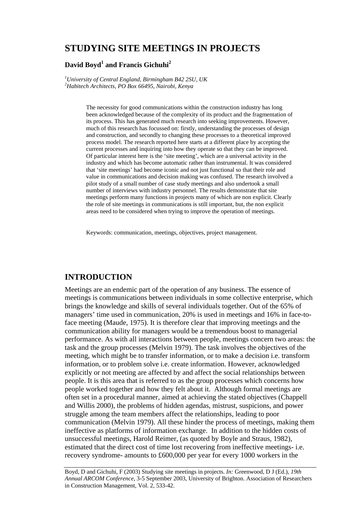# **STUDYING SITE MEETINGS IN PROJECTS**

### **David Boyd<sup>1</sup> and Francis Gichuhi<sup>2</sup>**

*1 University of Central England, Birmingham B42 2SU, UK 2 Habitech Architects, PO Box 66495, Nairobi, Kenya* 

> The necessity for good communications within the construction industry has long been acknowledged because of the complexity of its product and the fragmentation of its process. This has generated much research into seeking improvements. However, much of this research has focussed on: firstly, understanding the processes of design and construction, and secondly to changing these processes to a theoretical improved process model. The research reported here starts at a different place by accepting the current processes and inquiring into how they operate so that they can be improved. Of particular interest here is the 'site meeting', which are a universal activity in the industry and which has become automatic rather than instrumental. It was considered that 'site meetings' had become iconic and not just functional so that their role and value in communications and decision making was confused. The research involved a pilot study of a small number of case study meetings and also undertook a small number of interviews with industry personnel. The results demonstrate that site meetings perform many functions in projects many of which are non explicit. Clearly the role of site meetings in communications is still important, but, the non explicit areas need to be considered when trying to improve the operation of meetings.

Keywords: communication, meetings, objectives, project management.

## **INTRODUCTION**

Meetings are an endemic part of the operation of any business. The essence of meetings is communications between individuals in some collective enterprise, which brings the knowledge and skills of several individuals together. Out of the 65% of managers' time used in communication, 20% is used in meetings and 16% in face-toface meeting (Maude, 1975). It is therefore clear that improving meetings and the communication ability for managers would be a tremendous boost to managerial performance. As with all interactions between people, meetings concern two areas: the task and the group processes (Melvin 1979). The task involves the objectives of the meeting, which might be to transfer information, or to make a decision i.e. transform information, or to problem solve i.e. create information. However, acknowledged explicitly or not meeting are affected by and affect the social relationships between people. It is this area that is referred to as the group processes which concerns how people worked together and how they felt about it. Although formal meetings are often set in a procedural manner, aimed at achieving the stated objectives (Chappell and Willis 2000), the problems of hidden agendas, mistrust, suspicions, and power struggle among the team members affect the relationships, leading to poor communication (Melvin 1979). All these hinder the process of meetings, making them ineffective as platforms of information exchange. In addition to the hidden costs of unsuccessful meetings, Harold Reimer, (as quoted by Boyle and Straus, 1982), estimated that the direct cost of time lost recovering from ineffective meetings- i.e. recovery syndrome- amounts to £600,000 per year for every 1000 workers in the

Boyd, D and Gichuhi, F (2003) Studying site meetings in projects. *In:* Greenwood, D J (Ed.), *19th Annual ARCOM Conference*, 3-5 September 2003, University of Brighton. Association of Researchers in Construction Management, Vol. 2, 533-42.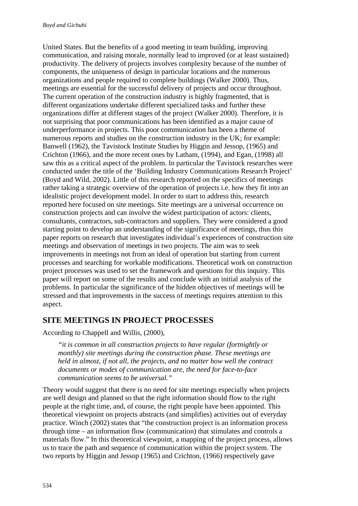United States. But the benefits of a good meeting in team building, improving communication, and raising morale, normally lead to improved (or at least sustained) productivity. The delivery of projects involves complexity because of the number of components, the uniqueness of design in particular locations and the numerous organizations and people required to complete buildings (Walker 2000). Thus, meetings are essential for the successful delivery of projects and occur throughout. The current operation of the construction industry is highly fragmented, that is different organizations undertake different specialized tasks and further these organizations differ at different stages of the project (Walker 2000). Therefore, it is not surprising that poor communications has been identified as a major cause of underperformance in projects. This poor communication has been a theme of numerous reports and studies on the construction industry in the UK; for example: Banwell (1962), the Tavistock Institute Studies by Higgin and Jessop, (1965) and Crichton (1966), and the more recent ones by Latham, (1994), and Egan, (1998) all saw this as a critical aspect of the problem. In particular the Tavistock researches were conducted under the title of the 'Building Industry Communications Research Project' (Boyd and Wild, 2002). Little of this research reported on the specifics of meetings rather taking a strategic overview of the operation of projects i.e. how they fit into an idealistic project development model. In order to start to address this, research reported here focused on site meetings. Site meetings are a universal occurrence on construction projects and can involve the widest participation of actors: clients, consultants, contractors, sub-contractors and suppliers. They were considered a good starting point to develop an understanding of the significance of meetings, thus this paper reports on research that investigates individual's experiences of construction site meetings and observation of meetings in two projects. The aim was to seek improvements in meetings not from an ideal of operation but starting from current processes and searching for workable modifications. Theoretical work on construction project processes was used to set the framework and questions for this inquiry. This paper will report on some of the results and conclude with an initial analysis of the problems. In particular the significance of the hidden objectives of meetings will be stressed and that improvements in the success of meetings requires attention to this aspect.

# **SITE MEETINGS IN PROJECT PROCESSES**

According to Chappell and Willis, (2000),

*"it is common in all construction projects to have regular (fortnightly or monthly) site meetings during the construction phase. These meetings are held in almost, if not all, the projects, and no matter how well the contract documents or modes of communication are, the need for face-to-face communication seems to be universal."* 

Theory would suggest that there is no need for site meetings especially when projects are well design and planned so that the right information should flow to the right people at the right time, and, of course, the right people have been appointed. This theoretical viewpoint on projects abstracts (and simplifies) activities out of everyday practice. Winch (2002) states that "the construction project is an information process through time – an information flow (communication) that stimulates and controls a materials flow." In this theoretical viewpoint, a mapping of the project process, allows us to trace the path and sequence of communication within the project system. The two reports by Higgin and Jessop (1965) and Crichton, (1966) respectively gave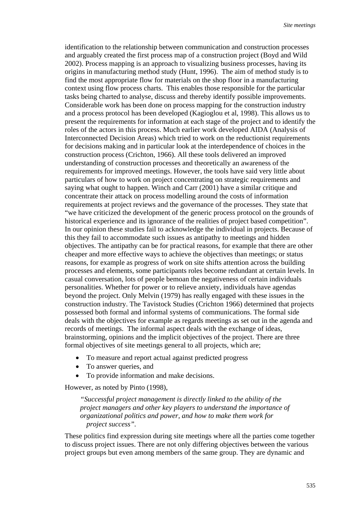identification to the relationship between communication and construction processes and arguably created the first process map of a construction project (Boyd and Wild 2002). Process mapping is an approach to visualizing business processes, having its origins in manufacturing method study (Hunt, 1996). The aim of method study is to find the most appropriate flow for materials on the shop floor in a manufacturing context using flow process charts. This enables those responsible for the particular tasks being charted to analyse, discuss and thereby identify possible improvements. Considerable work has been done on process mapping for the construction industry and a process protocol has been developed (Kagioglou et al, 1998). This allows us to present the requirements for information at each stage of the project and to identify the roles of the actors in this process. Much earlier work developed AIDA (Analysis of Interconnected Decision Areas) which tried to work on the reductionist requirements for decisions making and in particular look at the interdependence of choices in the construction process (Crichton, 1966). All these tools delivered an improved understanding of construction processes and theoretically an awareness of the requirements for improved meetings. However, the tools have said very little about particulars of how to work on project concentrating on strategic requirements and saying what ought to happen. Winch and Carr (2001) have a similar critique and concentrate their attack on process modelling around the costs of information requirements at project reviews and the governance of the processes. They state that "we have criticized the development of the generic process protocol on the grounds of historical experience and its ignorance of the realities of project based competition". In our opinion these studies fail to acknowledge the individual in projects. Because of this they fail to accommodate such issues as antipathy to meetings and hidden objectives. The antipathy can be for practical reasons, for example that there are other cheaper and more effective ways to achieve the objectives than meetings; or status reasons, for example as progress of work on site shifts attention across the building processes and elements, some participants roles become redundant at certain levels. In casual conversation, lots of people bemoan the negativeness of certain individuals personalities. Whether for power or to relieve anxiety, individuals have agendas beyond the project. Only Melvin (1979) has really engaged with these issues in the construction industry. The Tavistock Studies (Crichton 1966) determined that projects possessed both formal and informal systems of communications. The formal side deals with the objectives for example as regards meetings as set out in the agenda and records of meetings. The informal aspect deals with the exchange of ideas, brainstorming, opinions and the implicit objectives of the project. There are three formal objectives of site meetings general to all projects, which are;

- To measure and report actual against predicted progress
- To answer queries, and
- To provide information and make decisions.

However, as noted by Pinto (1998),

*"Successful project management is directly linked to the ability of the project managers and other key players to understand the importance of organizational politics and power, and how to make them work for project success".* 

These politics find expression during site meetings where all the parties come together to discuss project issues. There are not only differing objectives between the various project groups but even among members of the same group. They are dynamic and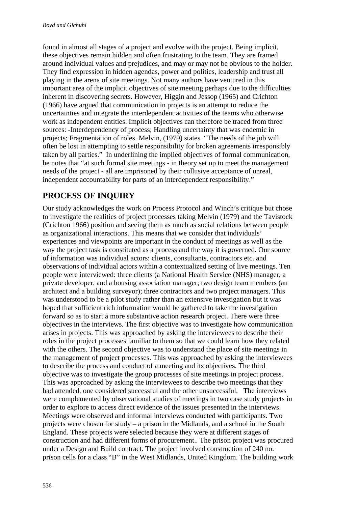found in almost all stages of a project and evolve with the project. Being implicit, these objectives remain hidden and often frustrating to the team. They are framed around individual values and prejudices, and may or may not be obvious to the holder. They find expression in hidden agendas, power and politics, leadership and trust all playing in the arena of site meetings. Not many authors have ventured in this important area of the implicit objectives of site meeting perhaps due to the difficulties inherent in discovering secrets. However, Higgin and Jessop (1965) and Crichton (1966) have argued that communication in projects is an attempt to reduce the uncertainties and integrate the interdependent activities of the teams who otherwise work as independent entities. Implicit objectives can therefore be traced from three sources: -Interdependency of process; Handling uncertainty that was endemic in projects; Fragmentation of roles. Melvin, (1979) states "The needs of the job will often be lost in attempting to settle responsibility for broken agreements irresponsibly taken by all parties." In underlining the implied objectives of formal communication, he notes that "at such formal site meetings - in theory set up to meet the management needs of the project - all are imprisoned by their collusive acceptance of unreal, independent accountability for parts of an interdependent responsibility."

# **PROCESS OF INQUIRY**

Our study acknowledges the work on Process Protocol and Winch's critique but chose to investigate the realities of project processes taking Melvin (1979) and the Tavistock (Crichton 1966) position and seeing them as much as social relations between people as organizational interactions. This means that we consider that individuals' experiences and viewpoints are important in the conduct of meetings as well as the way the project task is constituted as a process and the way it is governed. Our source of information was individual actors: clients, consultants, contractors etc. and observations of individual actors within a contextualized setting of live meetings. Ten people were interviewed: three clients (a National Health Service (NHS) manager, a private developer, and a housing association manager; two design team members (an architect and a building surveyor); three contractors and two project managers. This was understood to be a pilot study rather than an extensive investigation but it was hoped that sufficient rich information would be gathered to take the investigation forward so as to start a more substantive action research project. There were three objectives in the interviews. The first objective was to investigate how communication arises in projects. This was approached by asking the interviewees to describe their roles in the project processes familiar to them so that we could learn how they related with the others. The second objective was to understand the place of site meetings in the management of project processes. This was approached by asking the interviewees to describe the process and conduct of a meeting and its objectives. The third objective was to investigate the group processes of site meetings in project process. This was approached by asking the interviewees to describe two meetings that they had attended, one considered successful and the other unsuccessful. The interviews were complemented by observational studies of meetings in two case study projects in order to explore to access direct evidence of the issues presented in the interviews. Meetings were observed and informal interviews conducted with participants. Two projects were chosen for study – a prison in the Midlands, and a school in the South England. These projects were selected because they were at different stages of construction and had different forms of procurement.. The prison project was procured under a Design and Build contract. The project involved construction of 240 no. prison cells for a class "B" in the West Midlands, United Kingdom. The building work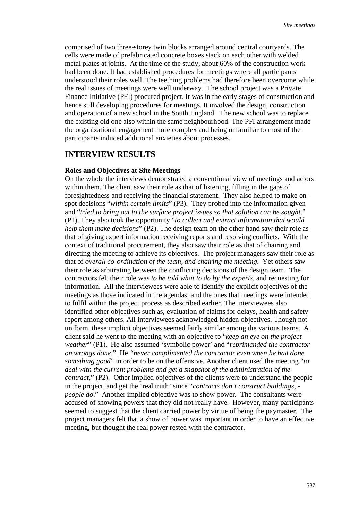comprised of two three-storey twin blocks arranged around central courtyards. The cells were made of prefabricated concrete boxes stack on each other with welded metal plates at joints. At the time of the study, about 60% of the construction work had been done. It had established procedures for meetings where all participants understood their roles well. The teething problems had therefore been overcome while the real issues of meetings were well underway. The school project was a Private Finance Initiative (PFI) procured project. It was in the early stages of construction and hence still developing procedures for meetings. It involved the design, construction and operation of a new school in the South England. The new school was to replace the existing old one also within the same neighbourhood. The PFI arrangement made the organizational engagement more complex and being unfamiliar to most of the participants induced additional anxieties about processes.

## **INTERVIEW RESULTS**

#### **Roles and Objectives at Site Meetings**

On the whole the interviews demonstrated a conventional view of meetings and actors within them. The client saw their role as that of listening, filling in the gaps of foresightedness and receiving the financial statement. They also helped to make onspot decisions "*within certain limits*" (P3). They probed into the information given and "*tried to bring out to the surface project issues so that solution can be sought*." (P1). They also took the opportunity "*to collect and extract information that would help them make decisions*" (P2). The design team on the other hand saw their role as that of giving expert information receiving reports and resolving conflicts. With the context of traditional procurement, they also saw their role as that of chairing and directing the meeting to achieve its objectives. The project managers saw their role as that of *overall co-ordination of the team, and chairing the meeting.* Yet others saw their role as arbitrating between the conflicting decisions of the design team. The contractors felt their role was *to be told what to do by the experts*, and requesting for information. All the interviewees were able to identify the explicit objectives of the meetings as those indicated in the agendas, and the ones that meetings were intended to fulfil within the project process as described earlier. The interviewees also identified other objectives such as, evaluation of claims for delays, health and safety report among others. All interviewees acknowledged hidden objectives. Though not uniform, these implicit objectives seemed fairly similar among the various teams. A client said he went to the meeting with an objective to "*keep an eye on the project weather*" (P1). He also assumed 'symbolic power' and "*reprimanded the contractor on wrongs done*." He *"never complimented the contractor even when he had done something good*" in order to be on the offensive. Another client used the meeting "*to deal with the current problems and get a snapshot of the administration of the contract*," (P2). Other implied objectives of the clients were to understand the people in the project, and get the 'real truth' since "*contracts don't construct buildings, people do*." Another implied objective was to show power. The consultants were accused of showing powers that they did not really have. However, many participants seemed to suggest that the client carried power by virtue of being the paymaster. The project managers felt that a show of power was important in order to have an effective meeting, but thought the real power rested with the contractor.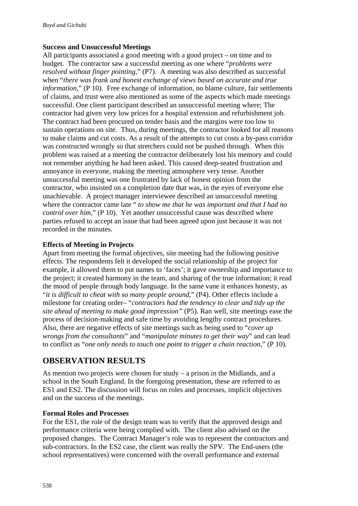#### **Success and Unsuccessful Meetings**

All participants associated a good meeting with a good project – on time and to budget. The contractor saw a successful meeting as one where "*problems were resolved without finger pointing*," (P7). A meeting was also described as successful when "*there was frank and honest exchange of views based on accurate and true information*," (P 10). Free exchange of information, no blame culture, fair settlements of claims, and trust were also mentioned as some of the aspects which made meetings successful. One client participant described an unsuccessful meeting where; The contractor had given very low prices for a hospital extension and refurbishment job. The contract had been procured on tender basis and the margins were too low to sustain operations on site. Thus, during meetings, the contractor looked for all reasons to make claims and cut costs. As a result of the attempts to cut costs a by-pass corridor was constructed wrongly so that stretchers could not be pushed through. When this problem was raised at a meeting the contractor deliberately lost his memory and could not remember anything he had been asked. This caused deep-seated frustration and annoyance in everyone, making the meeting atmosphere very tense. Another unsuccessful meeting was one frustrated by lack of honest opinion from the contractor, who insisted on a completion date that was, in the eyes of everyone else unachievable. A project manager interviewee described an unsuccessful meeting where the contractor came late " *to show me that he was important and that I had no control over him*," (P 10). Yet another unsuccessful cause was described where parties refused to accept an issue that had been agreed upon just because it was not recorded in the minutes.

#### **Effects of Meeting in Projects**

Apart from meeting the formal objectives, site meeting had the following positive effects. The respondents felt it developed the social relationship of the project for example, it allowed them to put names to 'faces'; it gave ownership and importance to the project; it created harmony in the team, and sharing of the true information; it read the mood of people through body language. In the same vane it enhances honesty, as "*it is difficult to cheat with so many people around*," (P4). Other effects include a milestone for creating order– "*contractors had the tendency to clear and tidy up the site ahead of meeting to make good impression"* (P5). Ran well, site meetings ease the process of decision-making and safe time by avoiding lengthy contract procedures. Also, there are negative effects of site meetings such as being used to "*cover up wrongs from the consultants*" and "*manipulate minutes to get their way*" and can lead to conflict as "*one only needs to touch one point to trigger a chain reaction*," (P 10).

# **OBSERVATION RESULTS**

As mention two projects were chosen for study – a prison in the Midlands, and a school in the South England. In the foregoing presentation, these are referred to as ES1 and ES2. The discussion will focus on roles and processes, implicit objectives and on the success of the meetings.

#### **Formal Roles and Processes**

For the ES1, the role of the design team was to verify that the approved design and performance criteria were being complied with. The client also advised on the proposed changes. The Contract Manager's role was to represent the contractors and sub-contractors. In the ES2 case, the client was really the SPV. The End-users (the school representatives) were concerned with the overall performance and external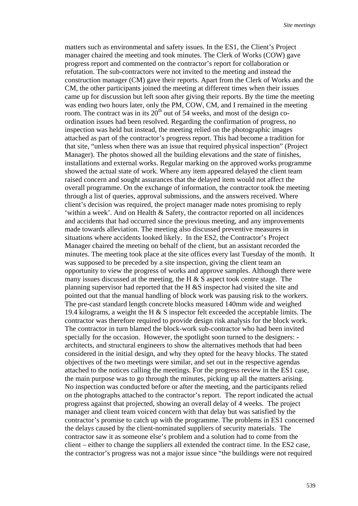matters such as environmental and safety issues. In the ES1, the Client's Project manager chaired the meeting and took minutes. The Clerk of Works (COW) gave progress report and commented on the contractor's report for collaboration or refutation. The sub-contractors were not invited to the meeting and instead the construction manager (CM) gave their reports. Apart from the Clerk of Works and the CM, the other participants joined the meeting at different times when their issues came up for discussion but left soon after giving their reports. By the time the meeting was ending two hours later, only the PM, COW, CM, and I remained in the meeting room. The contract was in its  $20<sup>th</sup>$  out of 54 weeks, and most of the design coordination issues had been resolved. Regarding the confirmation of progress, no inspection was held but instead, the meeting relied on the photographic images attached as part of the contractor's progress report. This had become a tradition for that site, "unless when there was an issue that required physical inspection" (Project Manager). The photos showed all the building elevations and the state of finishes, installations and external works. Regular marking on the approved works programme showed the actual state of work. Where any item appeared delayed the client team raised concern and sought assurances that the delayed item would not affect the overall programme. On the exchange of information, the contractor took the meeting through a list of queries, approval submissions, and the answers received. Where client's decision was required, the project manager made notes promising to reply 'within a week'. And on Health & Safety, the contractor reported on all incidences and accidents that had occurred since the previous meeting, and any improvements made towards alleviation. The meeting also discussed preventive measures in situations where accidents looked likely. In the ES2, the Contractor's Project Manager chaired the meeting on behalf of the client, but an assistant recorded the minutes. The meeting took place at the site offices every last Tuesday of the month. It was supposed to be preceded by a site inspection, giving the client team an opportunity to view the progress of works and approve samples. Although there were many issues discussed at the meeting, the H  $\&$  S aspect took centre stage. The planning supervisor had reported that the H &S inspector had visited the site and pointed out that the manual handling of block work was pausing risk to the workers. The pre-cast standard length concrete blocks measured 140mm wide and weighed 19.4 kilograms, a weight the H & S inspector felt exceeded the acceptable limits. The contractor was therefore required to provide design risk analysis for the block work. The contractor in turn blamed the block-work sub-contractor who had been invited specially for the occasion. However, the spotlight soon turned to the designers: architects, and structural engineers to show the alternatives methods that had been considered in the initial design, and why they opted for the heavy blocks. The stated objectives of the two meetings were similar, and set out in the respective agendas attached to the notices calling the meetings. For the progress review in the ES1 case, the main purpose was to go through the minutes, picking up all the matters arising. No inspection was conducted before or after the meeting, and the participants relied on the photographs attached to the contractor's report. The report indicated the actual progress against that projected, showing an overall delay of 4 weeks. The project manager and client team voiced concern with that delay but was satisfied by the contractor's promise to catch up with the programme. The problems in ES1 concerned the delays caused by the client-nominated suppliers of security materials. The contractor saw it as someone else's problem and a solution had to come from the client – either to change the suppliers all extended the contract time. In the ES2 case, the contractor's progress was not a major issue since "the buildings were not required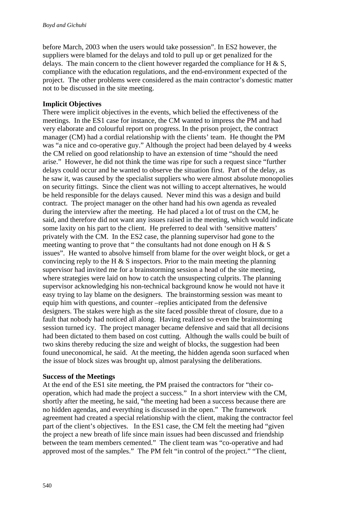before March, 2003 when the users would take possession". In ES2 however, the suppliers were blamed for the delays and told to pull up or get penalized for the delays. The main concern to the client however regarded the compliance for H  $\&$  S, compliance with the education regulations, and the end-environment expected of the project. The other problems were considered as the main contractor's domestic matter not to be discussed in the site meeting.

#### **Implicit Objectives**

There were implicit objectives in the events, which belied the effectiveness of the meetings. In the ES1 case for instance, the CM wanted to impress the PM and had very elaborate and colourful report on progress. In the prison project, the contract manager (CM) had a cordial relationship with the clients' team. He thought the PM was "a nice and co-operative guy." Although the project had been delayed by 4 weeks the CM relied on good relationship to have an extension of time "should the need arise." However, he did not think the time was ripe for such a request since "further delays could occur and he wanted to observe the situation first. Part of the delay, as he saw it, was caused by the specialist suppliers who were almost absolute monopolies on security fittings. Since the client was not willing to accept alternatives, he would be held responsible for the delays caused. Never mind this was a design and build contract. The project manager on the other hand had his own agenda as revealed during the interview after the meeting. He had placed a lot of trust on the CM, he said, and therefore did not want any issues raised in the meeting, which would indicate some laxity on his part to the client. He preferred to deal with 'sensitive matters' privately with the CM. In the ES2 case, the planning supervisor had gone to the meeting wanting to prove that " the consultants had not done enough on  $H \& S$ issues". He wanted to absolve himself from blame for the over weight block, or get a convincing reply to the H  $\&$  S inspectors. Prior to the main meeting the planning supervisor had invited me for a brainstorming session a head of the site meeting, where strategies were laid on how to catch the unsuspecting culprits. The planning supervisor acknowledging his non-technical background know he would not have it easy trying to lay blame on the designers. The brainstorming session was meant to equip him with questions, and counter –replies anticipated from the defensive designers. The stakes were high as the site faced possible threat of closure, due to a fault that nobody had noticed all along. Having realized so even the brainstorming session turned icy. The project manager became defensive and said that all decisions had been dictated to them based on cost cutting. Although the walls could be built of two skins thereby reducing the size and weight of blocks, the suggestion had been found uneconomical, he said. At the meeting, the hidden agenda soon surfaced when the issue of block sizes was brought up, almost paralysing the deliberations.

#### **Success of the Meetings**

At the end of the ES1 site meeting, the PM praised the contractors for "their cooperation, which had made the project a success." In a short interview with the CM, shortly after the meeting, he said, "the meeting had been a success because there are no hidden agendas, and everything is discussed in the open." The framework agreement had created a special relationship with the client, making the contractor feel part of the client's objectives. In the ES1 case, the CM felt the meeting had "given the project a new breath of life since main issues had been discussed and friendship between the team members cemented." The client team was "co-operative and had approved most of the samples." The PM felt "in control of the project." "The client,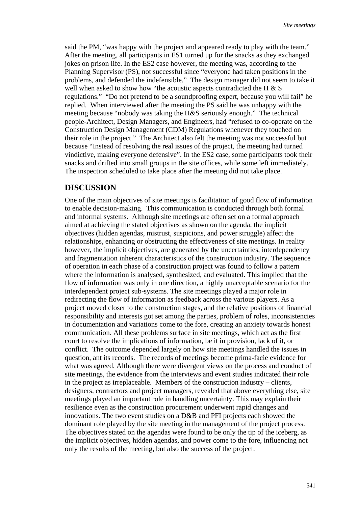said the PM, "was happy with the project and appeared ready to play with the team." After the meeting, all participants in ES1 turned up for the snacks as they exchanged jokes on prison life. In the ES2 case however, the meeting was, according to the Planning Supervisor (PS), not successful since "everyone had taken positions in the problems, and defended the indefensible." The design manager did not seem to take it well when asked to show how "the acoustic aspects contradicted the H & S regulations." "Do not pretend to be a soundproofing expert, because you will fail" he replied. When interviewed after the meeting the PS said he was unhappy with the meeting because "nobody was taking the H&S seriously enough." The technical people-Architect, Design Managers, and Engineers, had "refused to co-operate on the Construction Design Management (CDM) Regulations whenever they touched on their role in the project." The Architect also felt the meeting was not successful but because "Instead of resolving the real issues of the project, the meeting had turned vindictive, making everyone defensive". In the ES2 case, some participants took their snacks and drifted into small groups in the site offices, while some left immediately. The inspection scheduled to take place after the meeting did not take place.

## **DISCUSSION**

One of the main objectives of site meetings is facilitation of good flow of information to enable decision-making. This communication is conducted through both formal and informal systems. Although site meetings are often set on a formal approach aimed at achieving the stated objectives as shown on the agenda, the implicit objectives (hidden agendas, mistrust, suspicions, and power struggle) affect the relationships, enhancing or obstructing the effectiveness of site meetings. In reality however, the implicit objectives, are generated by the uncertainties, interdependency and fragmentation inherent characteristics of the construction industry. The sequence of operation in each phase of a construction project was found to follow a pattern where the information is analysed, synthesized, and evaluated. This implied that the flow of information was only in one direction, a highly unacceptable scenario for the interdependent project sub-systems. The site meetings played a major role in redirecting the flow of information as feedback across the various players. As a project moved closer to the construction stages, and the relative positions of financial responsibility and interests got set among the parties, problem of roles, inconsistencies in documentation and variations come to the fore, creating an anxiety towards honest communication. All these problems surface in site meetings, which act as the first court to resolve the implications of information, be it in provision, lack of it, or conflict. The outcome depended largely on how site meetings handled the issues in question, ant its records. The records of meetings become prima-facie evidence for what was agreed. Although there were divergent views on the process and conduct of site meetings, the evidence from the interviews and event studies indicated their role in the project as irreplaceable. Members of the construction industry – clients, designers, contractors and project managers, revealed that above everything else, site meetings played an important role in handling uncertainty. This may explain their resilience even as the construction procurement underwent rapid changes and innovations. The two event studies on a D&B and PFI projects each showed the dominant role played by the site meeting in the management of the project process. The objectives stated on the agendas were found to be only the tip of the iceberg, as the implicit objectives, hidden agendas, and power come to the fore, influencing not only the results of the meeting, but also the success of the project.